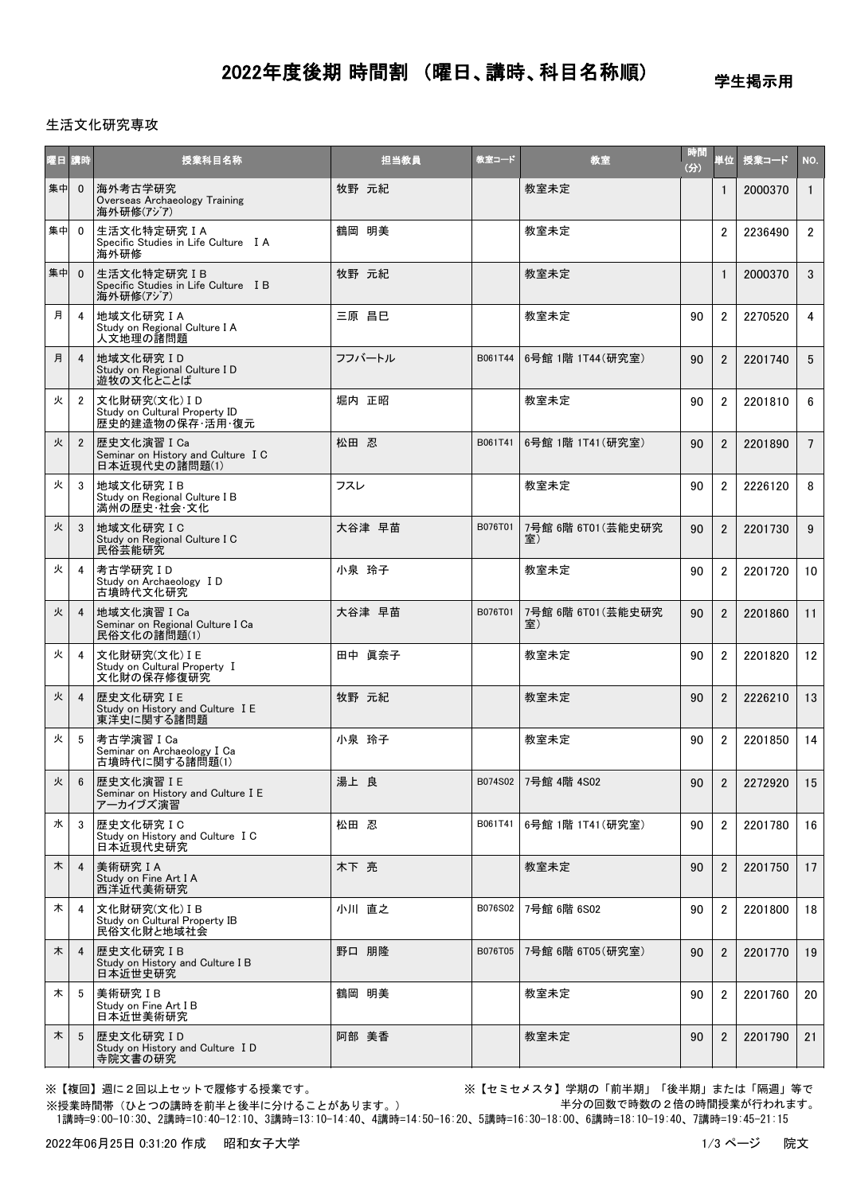2022年度後期 時間割 (曜日、講時、科目名称順)

学生掲示用

### 生活文化研究専攻

| 曜日 | 請時              | 授業科目名称                                                             | 担当教員   | 教室コード   | 教室                       | 時間<br>(分) | 単位             | 授業コード   | NO.             |
|----|-----------------|--------------------------------------------------------------------|--------|---------|--------------------------|-----------|----------------|---------|-----------------|
| 集中 | $\overline{0}$  | 海外考古学研究<br>Overseas Archaeology Training<br>海外研修(アジア)              | 牧野 元紀  |         | 教室未定                     |           | $\mathbf{1}$   | 2000370 | $\overline{1}$  |
| 集中 | $\overline{0}$  | 生活文化特定研究 I A<br>Specific Studies in Life Culture I A<br>海外研修       | 鶴岡 明美  |         | 教室未定                     |           | $\overline{2}$ | 2236490 | $\overline{2}$  |
| 集中 | $\Omega$        | 生活文化特定研究IB<br>Specific Studies in Life Culture I B<br>海外研修(アジア)    | 牧野 元紀  |         | 教室未定                     |           | $\mathbf{1}$   | 2000370 | 3               |
| 月  | 4               | 地域文化研究 I A<br>Study on Regional Culture I A<br>人文地理の諸問題            | 三原 昌巳  |         | 教室未定                     | 90        | $\overline{2}$ | 2270520 | 4               |
| 月  | $\overline{4}$  | 地域文化研究ID<br>Study on Regional Culture I D<br>遊牧の文化とことば             | フフバートル | B061T44 | 6号館 1階 1T44(研究室)         | 90        | $\mathfrak{p}$ | 2201740 | 5               |
| 火  | $\overline{2}$  | 文化財研究(文化) I D<br>Study on Cultural Property ID<br>歴史的建造物の保存・活用・復元  | 堀内 正昭  |         | 教室未定                     | 90        | $\overline{2}$ | 2201810 | 6               |
| 火  | $\overline{2}$  | 歴史文化演習 I Ca<br>Seminar on History and Culture I C<br>日本近現代史の諸問題(1) | 松田 忍   | B061T41 | 6号館 1階 1T41 (研究室)        | 90        | $\mathfrak{p}$ | 2201890 | $7\overline{ }$ |
| 火  | 3               | 地域文化研究IB<br>Study on Regional Culture I B<br>満州の歴史・社会・文化           | フスレ    |         | 教室未定                     | 90        | $\overline{2}$ | 2226120 | 8               |
| 火  | 3               | 地域文化研究 I C<br>Study on Regional Culture I C<br>民俗芸能研究              | 大谷津 早苗 | B076T01 | 7号館 6階 6T01 (芸能史研究<br>室) | 90        | $\overline{2}$ | 2201730 | 9               |
| 火  | 4               | 考古学研究ID<br>Study on Archaeology I D<br>古墳時代文化研究                    | 小泉 玲子  |         | 教室未定                     | 90        | $\overline{2}$ | 2201720 | 10              |
| 火  | $\overline{4}$  | 地域文化演習 I Ca<br>Seminar on Regional Culture I Ca<br>民俗文化の諸問題(1)     | 大谷津 早苗 | B076T01 | 7号館 6階 6T01 (芸能史研究<br>室) | 90        | $\overline{2}$ | 2201860 | 11              |
| 火  | 4               | 文化財研究(文化) I E<br>Study on Cultural Property I<br>文化財の保存修復研究        | 田中 眞奈子 |         | 教室未定                     | 90        | $\overline{2}$ | 2201820 | 12              |
| 火  | $\overline{4}$  | 歴史文化研究 I E<br>Study on History and Culture I E<br>東洋史に関する諸問題       | 牧野 元紀  |         | 教室未定                     | 90        | $\overline{2}$ | 2226210 | 13              |
| 火  | 5               | 考古学演習ICa<br>Seminar on Archaeology I Ca<br>古墳時代に関する諸問題(1)          | 小泉 玲子  |         | 教室未定                     | 90        | $\overline{2}$ | 2201850 | 14              |
| 火  | $6\overline{6}$ | 歴史文化演習 I E<br>Seminar on History and Culture I E<br>アーカイブズ演習       | 湯上 良   |         | B074S02 7号館 4階 4S02      | 90        | 2              | 2272920 | 15              |
| 水  | 3               | 歴史文化研究 I C<br>Study on History and Culture I C<br>日本近現代史研究         | 松田 忍   | B061T41 | 6号館 1階 1T41 (研究室)        | 90        | $\overline{2}$ | 2201780 | 16              |
| 木  | $\overline{4}$  | 美術研究IA<br>Study on Fine Art I A<br>西洋近代美術研究                        | 木下 亮   |         | 教室未定                     | 90        | $\overline{2}$ | 2201750 | 17              |
| 木  | -4              | 文化財研究(文化) IB<br>Study on Cultural Property IB<br>民俗文化財と地域社会        | 小川 直之  | B076S02 | 7号館 6階 6S02              | 90        | $\overline{2}$ | 2201800 | 18              |
| 木  | $\overline{4}$  | 歴史文化研究 IB<br>Study on History and Culture I B<br>日本近世史研究           | 野口 朋隆  | B076T05 | 7号館 6階 6T05 (研究室)        | 90        | $\overline{2}$ | 2201770 | 19              |
| 木  | 5               | 美術研究IB<br>Study on Fine Art I B<br>日本近世美術研究                        | 鶴岡 明美  |         | 教室未定                     | 90        | $\overline{2}$ | 2201760 | 20              |
| 木  | 5               | 歴史文化研究ID<br>Study on History and Culture ID<br>寺院文書の研究             | 阿部 美香  |         | 教室未定                     | 90        | $\overline{2}$ | 2201790 | 21              |

※【複回】週に2回以上セットで履修する授業です。 ※【セミセメスタ】学期の「前半期」「後半期」または「隔週」等で 半分の回数で時数の2倍の時間授業が行われます。

 1講時=9:00-10:30、2講時=10:40-12:10、3講時=13:10-14:40、4講時=14:50-16:20、5講時=16:30-18:00、6講時=18:10-19:40、7講時=19:45-21:15 ※授業時間帯(ひとつの講時を前半と後半に分けることがあります。)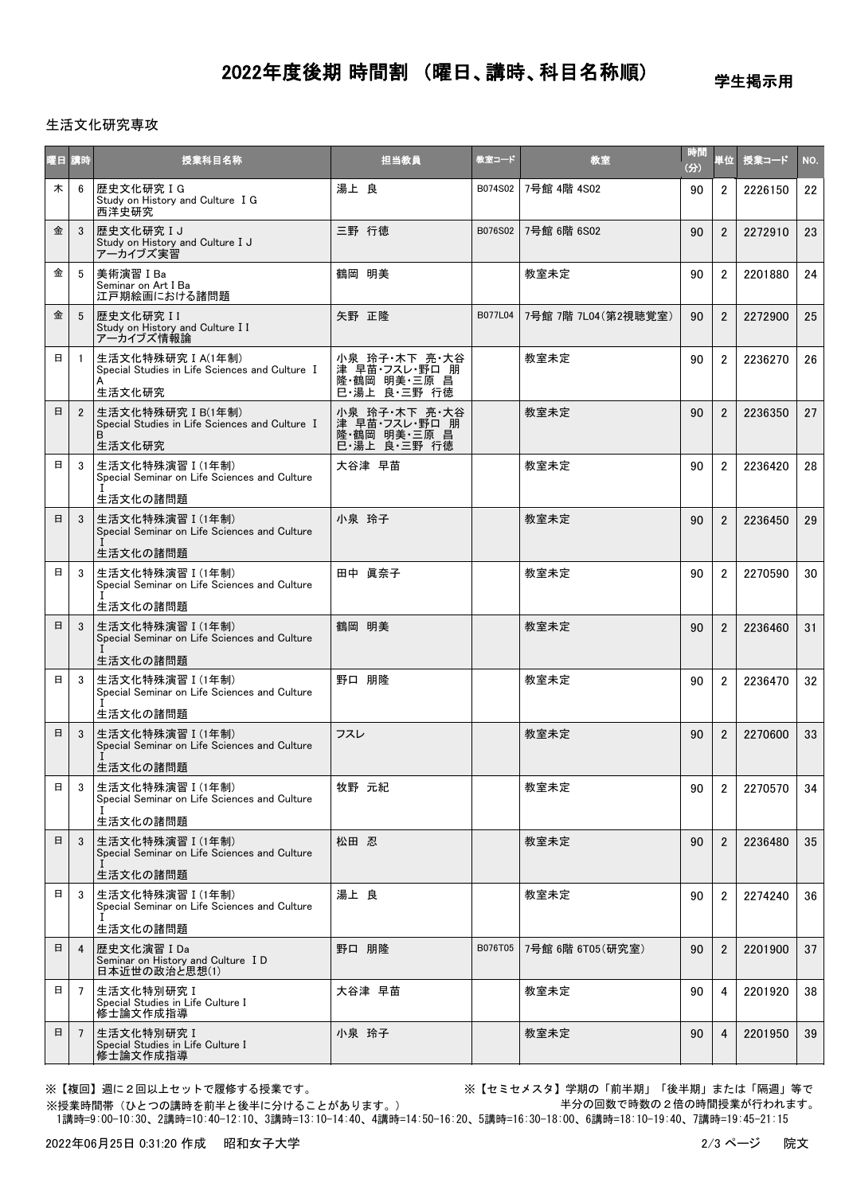# 2022年度後期 時間割 (曜日、講時、科目名称順)

学生掲示用

### 生活文化研究専攻

|   | 曜日 講時          | 授業科目名称                                                                                        | 担当教員                                                           | 教室コード   | 教室                  | 時間<br>(分) | 単位                   | 授業コード   | NO. |
|---|----------------|-----------------------------------------------------------------------------------------------|----------------------------------------------------------------|---------|---------------------|-----------|----------------------|---------|-----|
| 木 | 6              | 歴史文化研究IG<br>Study on History and Culture I G<br>西洋史研究                                         | 湯上 良                                                           | B074S02 | 7号館 4階 4S02         | 90        | $\mathbf{2}^{\circ}$ | 2226150 | 22  |
| 金 | 3              | 歴史文化研究IJ<br>Study on History and Culture I J<br>アーカイブズ実習                                      | 三野 行徳                                                          | B076S02 | 7号館 6階 6S02         | 90        | $\overline{2}$       | 2272910 | 23  |
| 金 | 5              | 美術演習 I Ba<br>Seminar on Art I Ba<br>江戸期絵画における諸問題                                              | 鶴岡 明美                                                          |         | 教室未定                | 90        | $\mathbf{2}^{\circ}$ | 2201880 | 24  |
| 金 | 5              | 歴史文化研究 II<br>Study on History and Culture I I<br>アーカイブズ情報論                                    | 矢野 正降                                                          | B077L04 | 7号館 7階 7L04(第2視聴覚室) | 90        | $\overline{2}$       | 2272900 | 25  |
| 日 | -1             | 生活文化特殊研究 I A(1年制)<br>Special Studies in Life Sciences and Culture I<br>生活文化研究                 | 小泉 玲子・木下 亮・大谷<br>津 早苗・フスレ・野口 朋<br>隆·鶴岡 明美·三原 昌<br>巳·湯上 良·三野 行徳 |         | 教室未定                | 90        | $\mathbf{2}^{\circ}$ | 2236270 | 26  |
| 日 | $\overline{2}$ | 生活文化特殊研究 I B(1年制)<br>Special Studies in Life Sciences and Culture I<br><sub>B</sub><br>生活文化研究 | 小泉 玲子·木下 亮·大谷<br>津 早苗・フスレ・野口 朋<br>隆·鶴岡 明美·三原 昌<br>巳·湯上 良·三野 行徳 |         | 教室未定                | 90        | $\overline{2}$       | 2236350 | 27  |
| 日 | 3              | 生活文化特殊演習 I (1年制)<br>Special Seminar on Life Sciences and Culture<br>生活文化の諸問題                  | 大谷津 早苗                                                         |         | 教室未定                | 90        | $\overline{2}$       | 2236420 | 28  |
| 日 | 3              | 生活文化特殊演習 I (1年制)<br>Special Seminar on Life Sciences and Culture<br>生活文化の諸問題                  | 小泉 玲子                                                          |         | 教室未定                | 90        | $\overline{2}$       | 2236450 | 29  |
| 日 | 3              | 生活文化特殊演習 I (1年制)<br>Special Seminar on Life Sciences and Culture                              | 田中 眞奈子                                                         |         | 教室未定                | 90        | $\overline{2}$       | 2270590 | 30  |
| 日 | 3              | 生活文化の諸問題<br>生活文化特殊演習 I (1年制)<br>Special Seminar on Life Sciences and Culture<br>生活文化の諸問題      | 鶴岡 明美                                                          |         | 教室未定                | 90        | $\overline{2}$       | 2236460 | 31  |
| 日 | 3              | 生活文化特殊演習 I (1年制)<br>Special Seminar on Life Sciences and Culture<br>生活文化の諸問題                  | 野口 朋隆                                                          |         | 教室未定                | 90        | $\overline{2}$       | 2236470 | 32  |
| 日 | 3              | 生活文化特殊演習 I (1年制)<br>Special Seminar on Life Sciences and Culture<br>生活文化の諸問題                  | フスレ                                                            |         | 教室未定                | 90        | $\overline{2}$       | 2270600 | 33  |
| 日 | 3              | │生活文化特殊演習Ⅰ(1年制)<br>Special Seminar on Life Sciences and Culture<br>生活文化の諸問題                   | 牧野 元紀                                                          |         | 教室未定                | 90        | 2                    | 2270570 | 34  |
| 日 | 3              | 生活文化特殊演習Ⅰ(1年制)<br>Special Seminar on Life Sciences and Culture<br>生活文化の諸問題                    | 松田 忍                                                           |         | 教室未定                | 90        | $\overline{2}$       | 2236480 | 35  |
| 日 | 3              | 生活文化特殊演習 I (1年制)<br>Special Seminar on Life Sciences and Culture                              | 湯上 良                                                           |         | 教室未定                | 90        | $\overline{2}$       | 2274240 | 36  |
| 日 | 4              | 生活文化の諸問題<br>歴史文化演習 I Da<br>Seminar on History and Culture I D<br>日本近世の政治と思想(1)                | 野口 朋隆                                                          | B076T05 | 7号館 6階 6T05(研究室)    | 90        | $\overline{2}$       | 2201900 | 37  |
| 日 | $\overline{7}$ | 生活文化特別研究 I<br>Special Studies in Life Culture I<br>修士論文作成指導                                   | 大谷津 早苗                                                         |         | 教室未定                | 90        | 4                    | 2201920 | 38  |
| 日 | 7              | 生活文化特別研究 I<br>Special Studies in Life Culture I<br>修士論文作成指導                                   | 小泉 玲子                                                          |         | 教室未定                | 90        | 4                    | 2201950 | 39  |

※授業時間帯(ひとつの講時を前半と後半に分けることがあります。)

※【複回】週に2回以上セットで履修する授業です。 アンチンススコン ※【セミセメスタ】学期の「前半期」「後半期」または「隔週」等で 半分の回数で時数の2倍の時間授業が行われます。

1講時=9:00-10:30、2講時=10:40-12:10、3講時=13:10-14:40、4講時=14:50-16:20、5講時=16:30-18:00、6講時=18:10-19:40、7講時=19:45-21:15